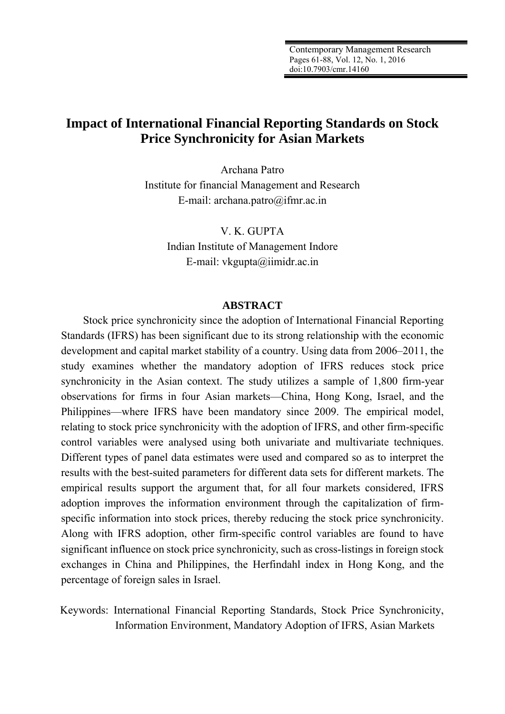Contemporary Management Research Pages 61-88, Vol. 12, No. 1, 2016 doi:10.7903/cmr.14160

# **Impact of International Financial Reporting Standards on Stock Price Synchronicity for Asian Markets**

Archana Patro Institute for financial Management and Research E-mail: archana.patro@ifmr.ac.in

> V. K. GUPTA Indian Institute of Management Indore E-mail: vkgupta@iimidr.ac.in

#### **ABSTRACT**

Stock price synchronicity since the adoption of International Financial Reporting Standards (IFRS) has been significant due to its strong relationship with the economic development and capital market stability of a country. Using data from 2006–2011, the study examines whether the mandatory adoption of IFRS reduces stock price synchronicity in the Asian context. The study utilizes a sample of 1,800 firm-year observations for firms in four Asian markets—China, Hong Kong, Israel, and the Philippines—where IFRS have been mandatory since 2009. The empirical model, relating to stock price synchronicity with the adoption of IFRS, and other firm-specific control variables were analysed using both univariate and multivariate techniques. Different types of panel data estimates were used and compared so as to interpret the results with the best-suited parameters for different data sets for different markets. The empirical results support the argument that, for all four markets considered, IFRS adoption improves the information environment through the capitalization of firmspecific information into stock prices, thereby reducing the stock price synchronicity. Along with IFRS adoption, other firm-specific control variables are found to have significant influence on stock price synchronicity, such as cross-listings in foreign stock exchanges in China and Philippines, the Herfindahl index in Hong Kong, and the percentage of foreign sales in Israel.

Keywords: International Financial Reporting Standards, Stock Price Synchronicity, Information Environment, Mandatory Adoption of IFRS, Asian Markets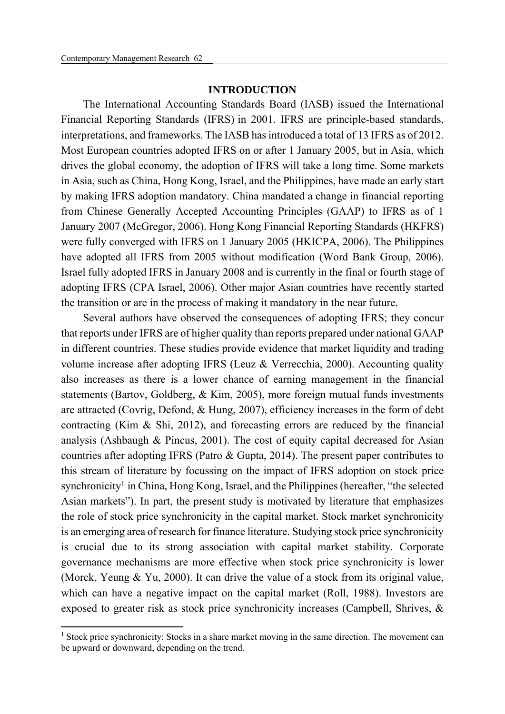**.** 

## **INTRODUCTION**

The International Accounting Standards Board (IASB) issued the International Financial Reporting Standards (IFRS) in 2001. IFRS are principle-based standards, interpretations, and frameworks. The IASB has introduced a total of 13 IFRS as of 2012. Most European countries adopted IFRS on or after 1 January 2005, but in Asia, which drives the global economy, the adoption of IFRS will take a long time. Some markets in Asia, such as China, Hong Kong, Israel, and the Philippines, have made an early start by making IFRS adoption mandatory. China mandated a change in financial reporting from Chinese Generally Accepted Accounting Principles (GAAP) to IFRS as of 1 January 2007 (McGregor, 2006). Hong Kong Financial Reporting Standards (HKFRS) were fully converged with IFRS on 1 January 2005 (HKICPA, 2006). The Philippines have adopted all IFRS from 2005 without modification (Word Bank Group, 2006). Israel fully adopted IFRS in January 2008 and is currently in the final or fourth stage of adopting IFRS (CPA Israel, 2006). Other major Asian countries have recently started the transition or are in the process of making it mandatory in the near future.

Several authors have observed the consequences of adopting IFRS; they concur that reports under IFRS are of higher quality than reports prepared under national GAAP in different countries. These studies provide evidence that market liquidity and trading volume increase after adopting IFRS (Leuz & Verrecchia, 2000). Accounting quality also increases as there is a lower chance of earning management in the financial statements (Bartov, Goldberg, & Kim, 2005), more foreign mutual funds investments are attracted (Covrig, Defond, & Hung, 2007), efficiency increases in the form of debt contracting (Kim & Shi, 2012), and forecasting errors are reduced by the financial analysis (Ashbaugh & Pincus, 2001). The cost of equity capital decreased for Asian countries after adopting IFRS (Patro & Gupta, 2014). The present paper contributes to this stream of literature by focussing on the impact of IFRS adoption on stock price synchronicity<sup>1</sup> in China, Hong Kong, Israel, and the Philippines (hereafter, "the selected Asian markets"). In part, the present study is motivated by literature that emphasizes the role of stock price synchronicity in the capital market. Stock market synchronicity is an emerging area of research for finance literature. Studying stock price synchronicity is crucial due to its strong association with capital market stability. Corporate governance mechanisms are more effective when stock price synchronicity is lower (Morck, Yeung & Yu, 2000). It can drive the value of a stock from its original value, which can have a negative impact on the capital market (Roll, 1988). Investors are exposed to greater risk as stock price synchronicity increases (Campbell, Shrives, &

<sup>&</sup>lt;sup>1</sup> Stock price synchronicity: Stocks in a share market moving in the same direction. The movement can be upward or downward, depending on the trend.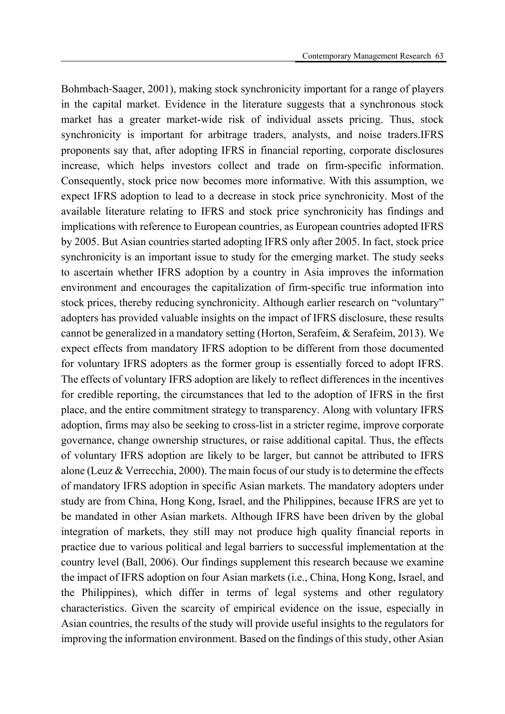Bohmbach‐Saager, 2001), making stock synchronicity important for a range of players in the capital market. Evidence in the literature suggests that a synchronous stock market has a greater market-wide risk of individual assets pricing. Thus, stock synchronicity is important for arbitrage traders, analysts, and noise traders.IFRS proponents say that, after adopting IFRS in financial reporting, corporate disclosures increase, which helps investors collect and trade on firm-specific information. Consequently, stock price now becomes more informative. With this assumption, we expect IFRS adoption to lead to a decrease in stock price synchronicity. Most of the available literature relating to IFRS and stock price synchronicity has findings and implications with reference to European countries, as European countries adopted IFRS by 2005. But Asian countries started adopting IFRS only after 2005. In fact, stock price synchronicity is an important issue to study for the emerging market. The study seeks to ascertain whether IFRS adoption by a country in Asia improves the information environment and encourages the capitalization of firm-specific true information into stock prices, thereby reducing synchronicity. Although earlier research on "voluntary" adopters has provided valuable insights on the impact of IFRS disclosure, these results cannot be generalized in a mandatory setting (Horton, Serafeim, & Serafeim, 2013). We expect effects from mandatory IFRS adoption to be different from those documented for voluntary IFRS adopters as the former group is essentially forced to adopt IFRS. The effects of voluntary IFRS adoption are likely to reflect differences in the incentives for credible reporting, the circumstances that led to the adoption of IFRS in the first place, and the entire commitment strategy to transparency. Along with voluntary IFRS adoption, firms may also be seeking to cross-list in a stricter regime, improve corporate governance, change ownership structures, or raise additional capital. Thus, the effects of voluntary IFRS adoption are likely to be larger, but cannot be attributed to IFRS alone (Leuz & Verrecchia, 2000). The main focus of our study is to determine the effects of mandatory IFRS adoption in specific Asian markets. The mandatory adopters under study are from China, Hong Kong, Israel, and the Philippines, because IFRS are yet to be mandated in other Asian markets. Although IFRS have been driven by the global integration of markets, they still may not produce high quality financial reports in practice due to various political and legal barriers to successful implementation at the country level (Ball, 2006). Our findings supplement this research because we examine the impact of IFRS adoption on four Asian markets (i.e., China, Hong Kong, Israel, and the Philippines), which differ in terms of legal systems and other regulatory characteristics. Given the scarcity of empirical evidence on the issue, especially in Asian countries, the results of the study will provide useful insights to the regulators for improving the information environment. Based on the findings of this study, other Asian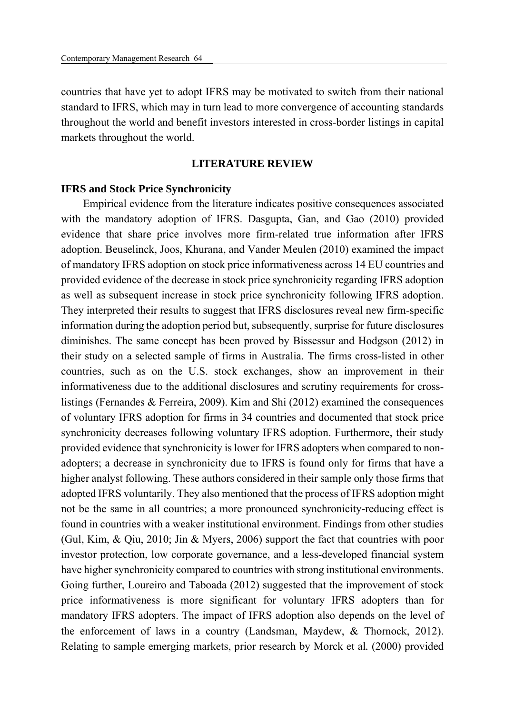countries that have yet to adopt IFRS may be motivated to switch from their national standard to IFRS, which may in turn lead to more convergence of accounting standards throughout the world and benefit investors interested in cross-border listings in capital markets throughout the world.

#### **LITERATURE REVIEW**

#### **IFRS and Stock Price Synchronicity**

Empirical evidence from the literature indicates positive consequences associated with the mandatory adoption of IFRS. Dasgupta, Gan, and Gao (2010) provided evidence that share price involves more firm-related true information after IFRS adoption. Beuselinck, Joos, Khurana, and Vander Meulen (2010) examined the impact of mandatory IFRS adoption on stock price informativeness across 14 EU countries and provided evidence of the decrease in stock price synchronicity regarding IFRS adoption as well as subsequent increase in stock price synchronicity following IFRS adoption. They interpreted their results to suggest that IFRS disclosures reveal new firm-specific information during the adoption period but, subsequently, surprise for future disclosures diminishes. The same concept has been proved by Bissessur and Hodgson (2012) in their study on a selected sample of firms in Australia. The firms cross-listed in other countries, such as on the U.S. stock exchanges, show an improvement in their informativeness due to the additional disclosures and scrutiny requirements for crosslistings (Fernandes & Ferreira, 2009). Kim and Shi (2012) examined the consequences of voluntary IFRS adoption for firms in 34 countries and documented that stock price synchronicity decreases following voluntary IFRS adoption. Furthermore, their study provided evidence that synchronicity is lower for IFRS adopters when compared to nonadopters; a decrease in synchronicity due to IFRS is found only for firms that have a higher analyst following. These authors considered in their sample only those firms that adopted IFRS voluntarily. They also mentioned that the process of IFRS adoption might not be the same in all countries; a more pronounced synchronicity-reducing effect is found in countries with a weaker institutional environment. Findings from other studies (Gul, Kim, & Qiu, 2010; Jin & Myers, 2006) support the fact that countries with poor investor protection, low corporate governance, and a less-developed financial system have higher synchronicity compared to countries with strong institutional environments. Going further, Loureiro and Taboada (2012) suggested that the improvement of stock price informativeness is more significant for voluntary IFRS adopters than for mandatory IFRS adopters. The impact of IFRS adoption also depends on the level of the enforcement of laws in a country (Landsman, Maydew, & Thornock, 2012). Relating to sample emerging markets, prior research by Morck et al*.* (2000) provided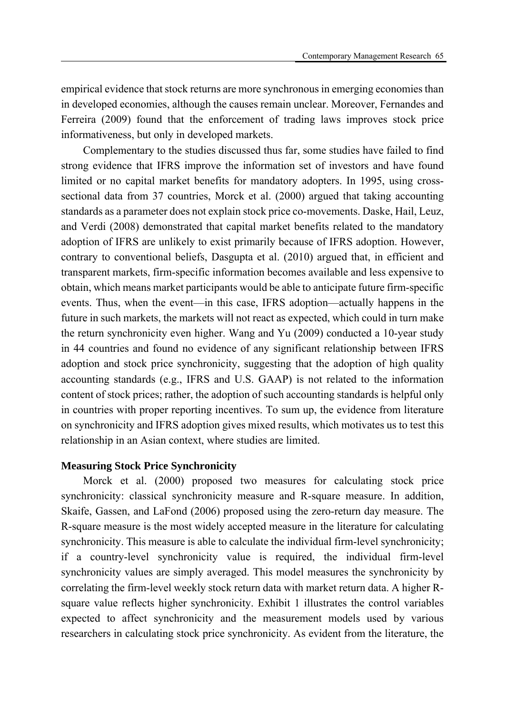empirical evidence that stock returns are more synchronous in emerging economies than in developed economies, although the causes remain unclear. Moreover, Fernandes and Ferreira (2009) found that the enforcement of trading laws improves stock price informativeness, but only in developed markets.

Complementary to the studies discussed thus far, some studies have failed to find strong evidence that IFRS improve the information set of investors and have found limited or no capital market benefits for mandatory adopters. In 1995, using crosssectional data from 37 countries, Morck et al. (2000) argued that taking accounting standards as a parameter does not explain stock price co-movements. Daske, Hail, Leuz, and Verdi (2008) demonstrated that capital market benefits related to the mandatory adoption of IFRS are unlikely to exist primarily because of IFRS adoption. However, contrary to conventional beliefs, Dasgupta et al. (2010) argued that, in efficient and transparent markets, firm-specific information becomes available and less expensive to obtain, which means market participants would be able to anticipate future firm-specific events. Thus, when the event—in this case, IFRS adoption—actually happens in the future in such markets, the markets will not react as expected, which could in turn make the return synchronicity even higher. Wang and Yu (2009) conducted a 10-year study in 44 countries and found no evidence of any significant relationship between IFRS adoption and stock price synchronicity, suggesting that the adoption of high quality accounting standards (e.g., IFRS and U.S. GAAP) is not related to the information content of stock prices; rather, the adoption of such accounting standards is helpful only in countries with proper reporting incentives. To sum up, the evidence from literature on synchronicity and IFRS adoption gives mixed results, which motivates us to test this relationship in an Asian context, where studies are limited.

### **Measuring Stock Price Synchronicity**

Morck et al. (2000) proposed two measures for calculating stock price synchronicity: classical synchronicity measure and R-square measure. In addition, Skaife, Gassen, and LaFond (2006) proposed using the zero-return day measure. The R-square measure is the most widely accepted measure in the literature for calculating synchronicity. This measure is able to calculate the individual firm-level synchronicity; if a country-level synchronicity value is required, the individual firm-level synchronicity values are simply averaged. This model measures the synchronicity by correlating the firm-level weekly stock return data with market return data. A higher Rsquare value reflects higher synchronicity. Exhibit 1 illustrates the control variables expected to affect synchronicity and the measurement models used by various researchers in calculating stock price synchronicity. As evident from the literature, the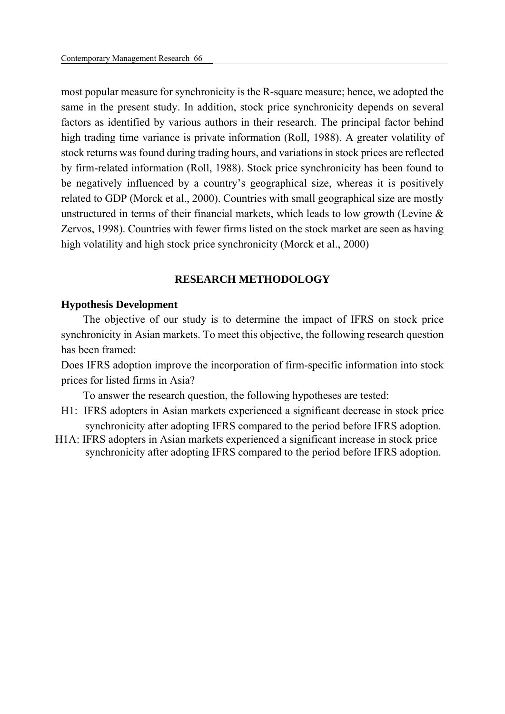most popular measure for synchronicity is the R-square measure; hence, we adopted the same in the present study. In addition, stock price synchronicity depends on several factors as identified by various authors in their research. The principal factor behind high trading time variance is private information (Roll, 1988). A greater volatility of stock returns was found during trading hours, and variations in stock prices are reflected by firm-related information (Roll, 1988). Stock price synchronicity has been found to be negatively influenced by a country's geographical size, whereas it is positively related to GDP (Morck et al., 2000). Countries with small geographical size are mostly unstructured in terms of their financial markets, which leads to low growth (Levine  $\&$ Zervos, 1998). Countries with fewer firms listed on the stock market are seen as having high volatility and high stock price synchronicity (Morck et al., 2000)

## **RESEARCH METHODOLOGY**

## **Hypothesis Development**

The objective of our study is to determine the impact of IFRS on stock price synchronicity in Asian markets. To meet this objective, the following research question has been framed:

Does IFRS adoption improve the incorporation of firm-specific information into stock prices for listed firms in Asia?

To answer the research question, the following hypotheses are tested:

- H1: IFRS adopters in Asian markets experienced a significant decrease in stock price synchronicity after adopting IFRS compared to the period before IFRS adoption.
- H1A: IFRS adopters in Asian markets experienced a significant increase in stock price synchronicity after adopting IFRS compared to the period before IFRS adoption.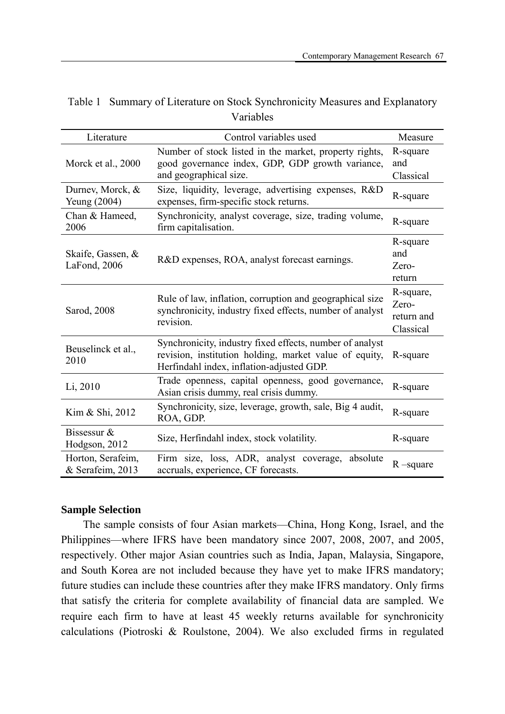| Literature                            | Control variables used                                                                                                                                          | Measure                                       |
|---------------------------------------|-----------------------------------------------------------------------------------------------------------------------------------------------------------------|-----------------------------------------------|
| Morck et al., 2000                    | Number of stock listed in the market, property rights,<br>good governance index, GDP, GDP growth variance,<br>and geographical size.                            | R-square<br>and<br>Classical                  |
| Durney, Morck, &<br>Yeung (2004)      | Size, liquidity, leverage, advertising expenses, R&D<br>expenses, firm-specific stock returns.                                                                  | R-square                                      |
| Chan & Hameed,<br>2006                | Synchronicity, analyst coverage, size, trading volume,<br>firm capitalisation.                                                                                  | R-square                                      |
| Skaife, Gassen, &<br>LaFond, 2006     | R&D expenses, ROA, analyst forecast earnings.                                                                                                                   | R-square<br>and<br>Zero-<br>return            |
| Sarod, 2008                           | Rule of law, inflation, corruption and geographical size<br>synchronicity, industry fixed effects, number of analyst<br>revision.                               | R-square,<br>Zero-<br>return and<br>Classical |
| Beuselinck et al.,<br>2010            | Synchronicity, industry fixed effects, number of analyst<br>revision, institution holding, market value of equity,<br>Herfindahl index, inflation-adjusted GDP. | R-square                                      |
| Li, 2010                              | Trade openness, capital openness, good governance,<br>Asian crisis dummy, real crisis dummy.                                                                    | R-square                                      |
| Kim & Shi, 2012                       | Synchronicity, size, leverage, growth, sale, Big 4 audit,<br>ROA, GDP.                                                                                          | R-square                                      |
| Bissessur $&$<br>Hodgson, 2012        | Size, Herfindahl index, stock volatility.                                                                                                                       | R-square                                      |
| Horton, Serafeim,<br>& Serafeim, 2013 | Firm size, loss, ADR, analyst coverage, absolute<br>accruals, experience, CF forecasts.                                                                         | $R$ –square                                   |

Table 1 Summary of Literature on Stock Synchronicity Measures and Explanatory Variables

### **Sample Selection**

The sample consists of four Asian markets—China, Hong Kong, Israel, and the Philippines—where IFRS have been mandatory since 2007, 2008, 2007, and 2005, respectively. Other major Asian countries such as India, Japan, Malaysia, Singapore, and South Korea are not included because they have yet to make IFRS mandatory; future studies can include these countries after they make IFRS mandatory. Only firms that satisfy the criteria for complete availability of financial data are sampled. We require each firm to have at least 45 weekly returns available for synchronicity calculations (Piotroski & Roulstone, 2004). We also excluded firms in regulated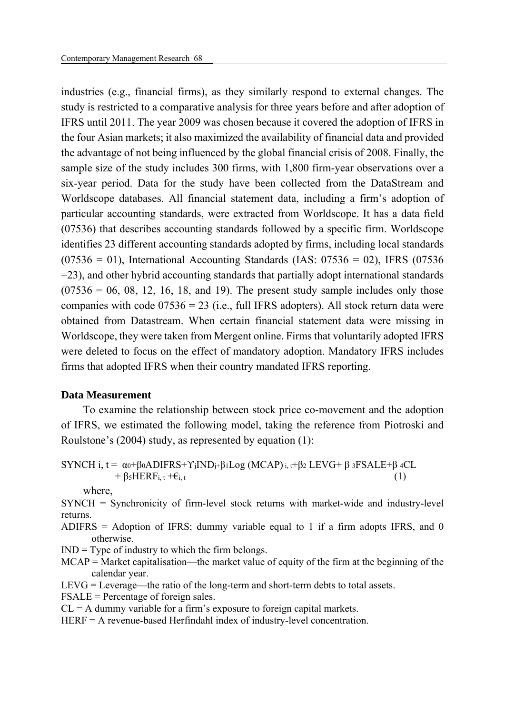industries (e.g., financial firms), as they similarly respond to external changes. The study is restricted to a comparative analysis for three years before and after adoption of IFRS until 2011. The year 2009 was chosen because it covered the adoption of IFRS in the four Asian markets; it also maximized the availability of financial data and provided the advantage of not being influenced by the global financial crisis of 2008. Finally, the sample size of the study includes 300 firms, with 1,800 firm-year observations over a six-year period. Data for the study have been collected from the DataStream and Worldscope databases. All financial statement data, including a firm's adoption of particular accounting standards, were extracted from Worldscope. It has a data field (07536) that describes accounting standards followed by a specific firm. Worldscope identifies 23 different accounting standards adopted by firms, including local standards  $(07536 = 01)$ , International Accounting Standards (IAS:  $07536 = 02$ ), IFRS (07536) =23), and other hybrid accounting standards that partially adopt international standards  $(07536 = 06, 08, 12, 16, 18, and 19)$ . The present study sample includes only those companies with code  $07536 = 23$  (i.e., full IFRS adopters). All stock return data were obtained from Datastream. When certain financial statement data were missing in Worldscope, they were taken from Mergent online. Firms that voluntarily adopted IFRS were deleted to focus on the effect of mandatory adoption. Mandatory IFRS includes firms that adopted IFRS when their country mandated IFRS reporting.

## **Data Measurement**

To examine the relationship between stock price co-movement and the adoption of IFRS, we estimated the following model, taking the reference from Piotroski and Roulstone's (2004) study, as represented by equation (1):

```
SYNCH i, t = α_0 + β_0ADIFRS + Y_iIND_i+β_1Log(MCAP)_{i,t}+β_2LEVG + β_3FSALE + β_4CL+ \beta_5 \text{HERF}_{i, t} + \epsilon_{i, t} (1)
```
where,

SYNCH = Synchronicity of firm-level stock returns with market-wide and industry-level returns.

- ADIFRS = Adoption of IFRS; dummy variable equal to 1 if a firm adopts IFRS, and 0 otherwise.
- $IND = Type of industry to which the firm belongs.$
- MCAP = Market capitalisation—the market value of equity of the firm at the beginning of the calendar year.
- LEVG = Leverage—the ratio of the long-term and short-term debts to total assets.
- FSALE = Percentage of foreign sales.
- $CL = A$  dummy variable for a firm's exposure to foreign capital markets.
- HERF = A revenue-based Herfindahl index of industry-level concentration.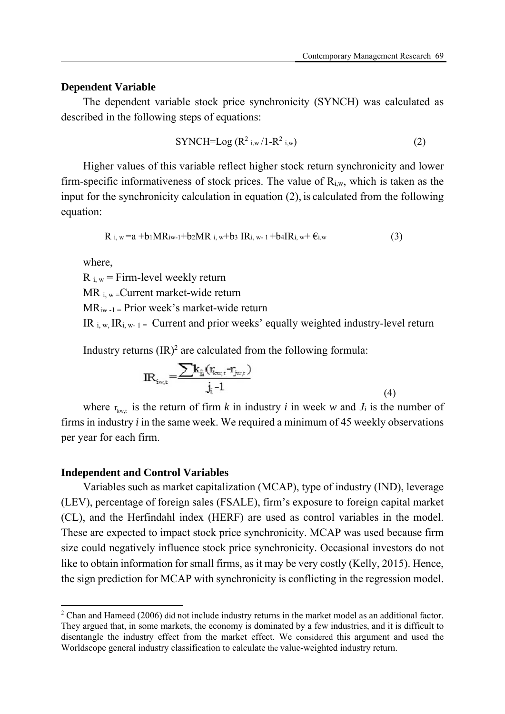## **Dependent Variable**

The dependent variable stock price synchronicity (SYNCH) was calculated as described in the following steps of equations:

$$
\text{SYNCH}=\text{Log}\left(\mathbb{R}^2\right)_{i,w}/1-\mathbb{R}^2_{i,w}\right) \tag{2}
$$

Higher values of this variable reflect higher stock return synchronicity and lower firm-specific informativeness of stock prices. The value of  $R_{i,w}$ , which is taken as the input for the synchronicity calculation in equation (2), is calculated from the following equation:

$$
R_{i, w} = a + b_1 MR_{iw-1} + b_2 MR_{i, w} + b_3 IR_{i, w-1} + b_4 IR_{i, w} + \varepsilon_{i, w}
$$
\n(3)

where,

1

 $R_{i,w}$  = Firm-level weekly return

 $MR_i$ <sub>w</sub>=Current market-wide return

 $MR_{iw-1}$  = Prior week's market-wide return

IR  $_{i,w}$  IR<sub>i, w-1</sub> = Current and prior weeks' equally weighted industry-level return

Industry returns  $(IR)^2$  are calculated from the following formula:

$$
IR_{i\omega,t} = \frac{\sum k_{\hat{h}}(t_{i\omega,t} - t_{j\omega,t})}{j_t - 1}
$$
\n(4)

where  $r_{k w,t}$  is the return of firm *k* in industry *i* in week *w* and  $J_i$  is the number of firms in industry *i* in the same week. We required a minimum of 45 weekly observations per year for each firm.

#### **Independent and Control Variables**

Variables such as market capitalization (MCAP), type of industry (IND), leverage (LEV), percentage of foreign sales (FSALE), firm's exposure to foreign capital market (CL), and the Herfindahl index (HERF) are used as control variables in the model. These are expected to impact stock price synchronicity. MCAP was used because firm size could negatively influence stock price synchronicity. Occasional investors do not like to obtain information for small firms, as it may be very costly (Kelly, 2015). Hence, the sign prediction for MCAP with synchronicity is conflicting in the regression model.

 $2$  Chan and Hameed (2006) did not include industry returns in the market model as an additional factor. They argued that, in some markets, the economy is dominated by a few industries, and it is difficult to disentangle the industry effect from the market effect. We considered this argument and used the Worldscope general industry classification to calculate the value-weighted industry return.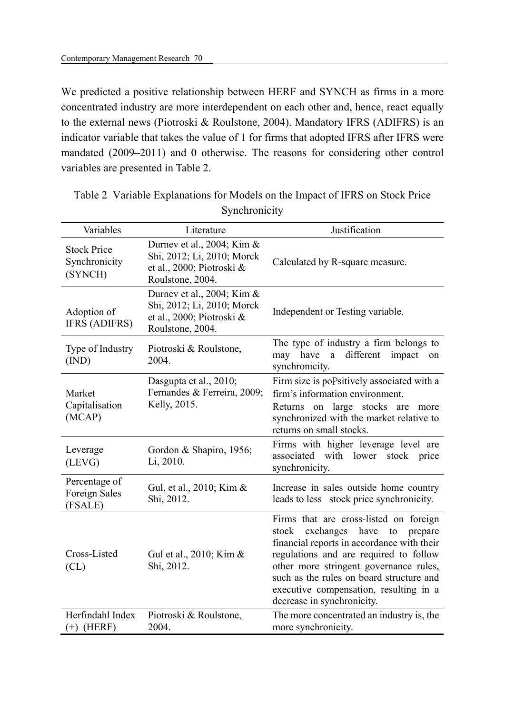We predicted a positive relationship between HERF and SYNCH as firms in a more concentrated industry are more interdependent on each other and, hence, react equally to the external news (Piotroski & Roulstone, 2004). Mandatory IFRS (ADIFRS) is an indicator variable that takes the value of 1 for firms that adopted IFRS after IFRS were mandated (2009–2011) and 0 otherwise. The reasons for considering other control variables are presented in Table 2.

| Variables                                        | Literature                                                                                                | Justification                                                                                                                                                                                                                                                                                                                               |
|--------------------------------------------------|-----------------------------------------------------------------------------------------------------------|---------------------------------------------------------------------------------------------------------------------------------------------------------------------------------------------------------------------------------------------------------------------------------------------------------------------------------------------|
| <b>Stock Price</b><br>Synchronicity<br>(SYNCH)   | Durney et al., 2004; Kim &<br>Shi, 2012; Li, 2010; Morck<br>et al., 2000; Piotroski &<br>Roulstone, 2004. | Calculated by R-square measure.                                                                                                                                                                                                                                                                                                             |
| Adoption of<br><b>IFRS (ADIFRS)</b>              | Durney et al., 2004; Kim &<br>Shi, 2012; Li, 2010; Morck<br>et al., 2000; Piotroski &<br>Roulstone, 2004. | Independent or Testing variable.                                                                                                                                                                                                                                                                                                            |
| Type of Industry<br>(IND)                        | Piotroski & Roulstone,<br>2004.                                                                           | The type of industry a firm belongs to<br>have<br>different<br>impact<br>may<br>$\mathbf{a}$<br>on<br>synchronicity.                                                                                                                                                                                                                        |
| Market<br>Capitalisation<br>(MCAP)               | Dasgupta et al., 2010;<br>Fernandes & Ferreira, 2009;<br>Kelly, 2015.                                     | Firm size is popsitively associated with a<br>firm's information environment.<br>Returns on large stocks are more<br>synchronized with the market relative to<br>returns on small stocks.                                                                                                                                                   |
| Leverage<br>(LEVG)                               | Gordon & Shapiro, 1956;<br>Li, 2010.                                                                      | Firms with higher leverage level are<br>associated with lower<br>stock price<br>synchronicity.                                                                                                                                                                                                                                              |
| Percentage of<br><b>Foreign Sales</b><br>(FSALE) | Gul, et al., 2010; Kim &<br>Shi, 2012.                                                                    | Increase in sales outside home country<br>leads to less stock price synchronicity.                                                                                                                                                                                                                                                          |
| Cross-Listed<br>CL)                              | Gul et al., 2010; Kim &<br>Shi, 2012.                                                                     | Firms that are cross-listed on foreign<br>stock<br>exchanges<br>have<br>to<br>prepare<br>financial reports in accordance with their<br>regulations and are required to follow<br>other more stringent governance rules,<br>such as the rules on board structure and<br>executive compensation, resulting in a<br>decrease in synchronicity. |
| Herfindahl Index<br>$(+)$ (HERF)                 | Piotroski & Roulstone,<br>2004.                                                                           | The more concentrated an industry is, the<br>more synchronicity.                                                                                                                                                                                                                                                                            |

Table 2 Variable Explanations for Models on the Impact of IFRS on Stock Price Synchronicity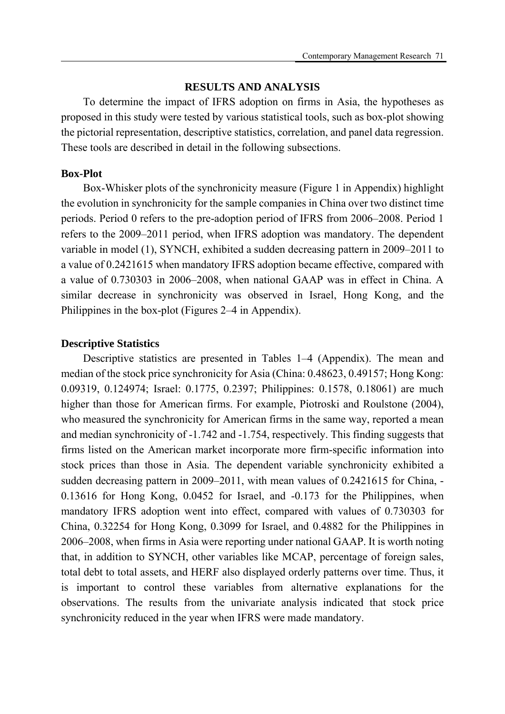## **RESULTS AND ANALYSIS**

To determine the impact of IFRS adoption on firms in Asia, the hypotheses as proposed in this study were tested by various statistical tools, such as box-plot showing the pictorial representation, descriptive statistics, correlation, and panel data regression. These tools are described in detail in the following subsections.

#### **Box-Plot**

Box-Whisker plots of the synchronicity measure (Figure 1 in Appendix) highlight the evolution in synchronicity for the sample companies in China over two distinct time periods. Period 0 refers to the pre-adoption period of IFRS from 2006–2008. Period 1 refers to the 2009–2011 period, when IFRS adoption was mandatory. The dependent variable in model (1), SYNCH, exhibited a sudden decreasing pattern in 2009–2011 to a value of 0.2421615 when mandatory IFRS adoption became effective, compared with a value of 0.730303 in 2006–2008, when national GAAP was in effect in China. A similar decrease in synchronicity was observed in Israel, Hong Kong, and the Philippines in the box-plot (Figures 2–4 in Appendix).

#### **Descriptive Statistics**

Descriptive statistics are presented in Tables 1–4 (Appendix). The mean and median of the stock price synchronicity for Asia (China: 0.48623, 0.49157; Hong Kong: 0.09319, 0.124974; Israel: 0.1775, 0.2397; Philippines: 0.1578, 0.18061) are much higher than those for American firms. For example, Piotroski and Roulstone (2004), who measured the synchronicity for American firms in the same way, reported a mean and median synchronicity of -1.742 and -1.754, respectively. This finding suggests that firms listed on the American market incorporate more firm-specific information into stock prices than those in Asia. The dependent variable synchronicity exhibited a sudden decreasing pattern in 2009–2011, with mean values of 0.2421615 for China, - 0.13616 for Hong Kong, 0.0452 for Israel, and -0.173 for the Philippines, when mandatory IFRS adoption went into effect, compared with values of 0.730303 for China, 0.32254 for Hong Kong, 0.3099 for Israel, and 0.4882 for the Philippines in 2006–2008, when firms in Asia were reporting under national GAAP. It is worth noting that, in addition to SYNCH, other variables like MCAP, percentage of foreign sales, total debt to total assets, and HERF also displayed orderly patterns over time. Thus, it is important to control these variables from alternative explanations for the observations. The results from the univariate analysis indicated that stock price synchronicity reduced in the year when IFRS were made mandatory.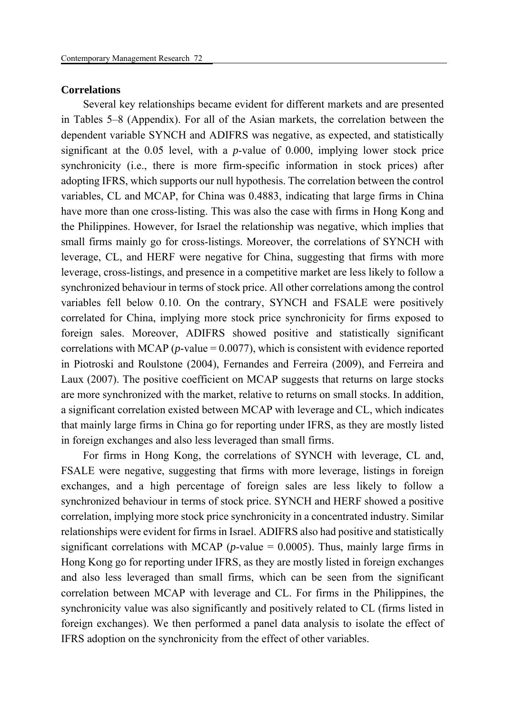#### **Correlations**

Several key relationships became evident for different markets and are presented in Tables 5–8 (Appendix). For all of the Asian markets, the correlation between the dependent variable SYNCH and ADIFRS was negative, as expected, and statistically significant at the 0.05 level, with a *p*-value of 0.000, implying lower stock price synchronicity (i.e., there is more firm-specific information in stock prices) after adopting IFRS, which supports our null hypothesis. The correlation between the control variables, CL and MCAP, for China was 0.4883, indicating that large firms in China have more than one cross-listing. This was also the case with firms in Hong Kong and the Philippines. However, for Israel the relationship was negative, which implies that small firms mainly go for cross-listings. Moreover, the correlations of SYNCH with leverage, CL, and HERF were negative for China, suggesting that firms with more leverage, cross-listings, and presence in a competitive market are less likely to follow a synchronized behaviour in terms of stock price. All other correlations among the control variables fell below 0.10. On the contrary, SYNCH and FSALE were positively correlated for China, implying more stock price synchronicity for firms exposed to foreign sales. Moreover, ADIFRS showed positive and statistically significant correlations with MCAP ( $p$ -value =  $0.0077$ ), which is consistent with evidence reported in Piotroski and Roulstone (2004), Fernandes and Ferreira (2009), and Ferreira and Laux (2007). The positive coefficient on MCAP suggests that returns on large stocks are more synchronized with the market, relative to returns on small stocks. In addition, a significant correlation existed between MCAP with leverage and CL, which indicates that mainly large firms in China go for reporting under IFRS, as they are mostly listed in foreign exchanges and also less leveraged than small firms.

For firms in Hong Kong, the correlations of SYNCH with leverage, CL and, FSALE were negative, suggesting that firms with more leverage, listings in foreign exchanges, and a high percentage of foreign sales are less likely to follow a synchronized behaviour in terms of stock price. SYNCH and HERF showed a positive correlation, implying more stock price synchronicity in a concentrated industry. Similar relationships were evident for firms in Israel. ADIFRS also had positive and statistically significant correlations with MCAP ( $p$ -value = 0.0005). Thus, mainly large firms in Hong Kong go for reporting under IFRS, as they are mostly listed in foreign exchanges and also less leveraged than small firms, which can be seen from the significant correlation between MCAP with leverage and CL. For firms in the Philippines, the synchronicity value was also significantly and positively related to CL (firms listed in foreign exchanges). We then performed a panel data analysis to isolate the effect of IFRS adoption on the synchronicity from the effect of other variables.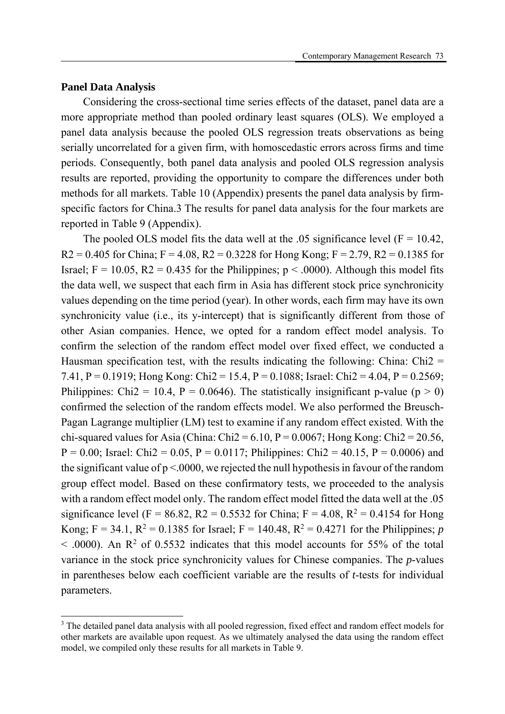## **Panel Data Analysis**

**.** 

Considering the cross-sectional time series effects of the dataset, panel data are a more appropriate method than pooled ordinary least squares (OLS). We employed a panel data analysis because the pooled OLS regression treats observations as being serially uncorrelated for a given firm, with homoscedastic errors across firms and time periods. Consequently, both panel data analysis and pooled OLS regression analysis results are reported, providing the opportunity to compare the differences under both methods for all markets. Table 10 (Appendix) presents the panel data analysis by firmspecific factors for China.3 The results for panel data analysis for the four markets are reported in Table 9 (Appendix).

The pooled OLS model fits the data well at the .05 significance level  $(F = 10.42)$ ,  $R2 = 0.405$  for China;  $F = 4.08$ ,  $R2 = 0.3228$  for Hong Kong;  $F = 2.79$ ,  $R2 = 0.1385$  for Israel;  $F = 10.05$ ,  $R2 = 0.435$  for the Philippines;  $p < .0000$ ). Although this model fits the data well, we suspect that each firm in Asia has different stock price synchronicity values depending on the time period (year). In other words, each firm may have its own synchronicity value (i.e., its y-intercept) that is significantly different from those of other Asian companies. Hence, we opted for a random effect model analysis. To confirm the selection of the random effect model over fixed effect, we conducted a Hausman specification test, with the results indicating the following: China:  $Chi =$ 7.41, P = 0.1919; Hong Kong: Chi2 = 15.4, P = 0.1088; Israel: Chi2 = 4.04, P = 0.2569; Philippines: Chi2 = 10.4, P = 0.0646). The statistically insignificant p-value (p  $>$  0) confirmed the selection of the random effects model. We also performed the Breusch-Pagan Lagrange multiplier (LM) test to examine if any random effect existed. With the chi-squared values for Asia (China: Chi2 =  $6.10$ , P =  $0.0067$ ; Hong Kong: Chi2 =  $20.56$ ,  $P = 0.00$ ; Israel: Chi2 = 0.05, P = 0.0117; Philippines: Chi2 = 40.15, P = 0.0006) and the significant value of  $p < 0000$ , we rejected the null hypothesis in favour of the random group effect model. Based on these confirmatory tests, we proceeded to the analysis with a random effect model only. The random effect model fitted the data well at the .05 significance level (F = 86.82, R2 = 0.5532 for China; F = 4.08, R<sup>2</sup> = 0.4154 for Hong Kong; F = 34.1, R<sup>2</sup> = 0.1385 for Israel; F = 140.48, R<sup>2</sup> = 0.4271 for the Philippines; *p*  $<$  .0000). An R<sup>2</sup> of 0.5532 indicates that this model accounts for 55% of the total variance in the stock price synchronicity values for Chinese companies. The *p*-values in parentheses below each coefficient variable are the results of *t*-tests for individual parameters.

<sup>&</sup>lt;sup>3</sup> The detailed panel data analysis with all pooled regression, fixed effect and random effect models for other markets are available upon request. As we ultimately analysed the data using the random effect model, we compiled only these results for all markets in Table 9.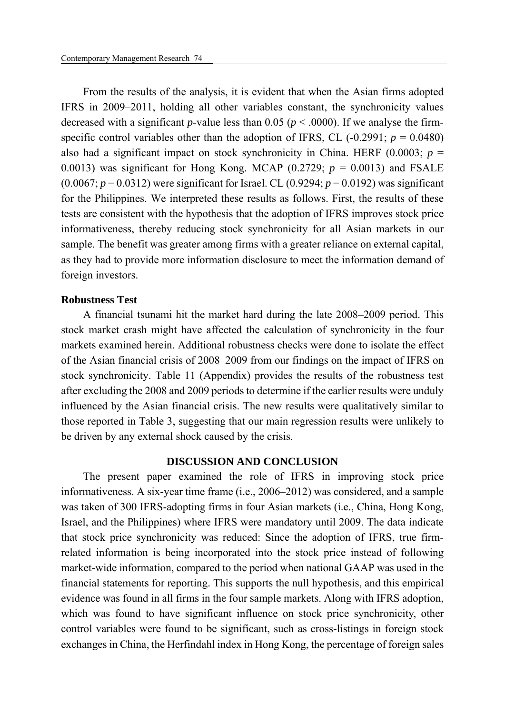From the results of the analysis, it is evident that when the Asian firms adopted IFRS in 2009–2011, holding all other variables constant, the synchronicity values decreased with a significant *p*-value less than 0.05 ( $p < .0000$ ). If we analyse the firmspecific control variables other than the adoption of IFRS, CL  $(-0.2991; p = 0.0480)$ also had a significant impact on stock synchronicity in China. HERF  $(0.0003; p =$ 0.0013) was significant for Hong Kong. MCAP  $(0.2729; p = 0.0013)$  and FSALE  $(0.0067; p = 0.0312)$  were significant for Israel. CL  $(0.9294; p = 0.0192)$  was significant for the Philippines. We interpreted these results as follows. First, the results of these tests are consistent with the hypothesis that the adoption of IFRS improves stock price informativeness, thereby reducing stock synchronicity for all Asian markets in our sample. The benefit was greater among firms with a greater reliance on external capital, as they had to provide more information disclosure to meet the information demand of foreign investors.

#### **Robustness Test**

A financial tsunami hit the market hard during the late 2008–2009 period. This stock market crash might have affected the calculation of synchronicity in the four markets examined herein. Additional robustness checks were done to isolate the effect of the Asian financial crisis of 2008–2009 from our findings on the impact of IFRS on stock synchronicity. Table 11 (Appendix) provides the results of the robustness test after excluding the 2008 and 2009 periods to determine if the earlier results were unduly influenced by the Asian financial crisis. The new results were qualitatively similar to those reported in Table 3, suggesting that our main regression results were unlikely to be driven by any external shock caused by the crisis.

## **DISCUSSION AND CONCLUSION**

The present paper examined the role of IFRS in improving stock price informativeness. A six-year time frame (i.e., 2006–2012) was considered, and a sample was taken of 300 IFRS-adopting firms in four Asian markets (i.e., China, Hong Kong, Israel, and the Philippines) where IFRS were mandatory until 2009. The data indicate that stock price synchronicity was reduced: Since the adoption of IFRS, true firmrelated information is being incorporated into the stock price instead of following market-wide information, compared to the period when national GAAP was used in the financial statements for reporting. This supports the null hypothesis, and this empirical evidence was found in all firms in the four sample markets. Along with IFRS adoption, which was found to have significant influence on stock price synchronicity, other control variables were found to be significant, such as cross-listings in foreign stock exchanges in China, the Herfindahl index in Hong Kong, the percentage of foreign sales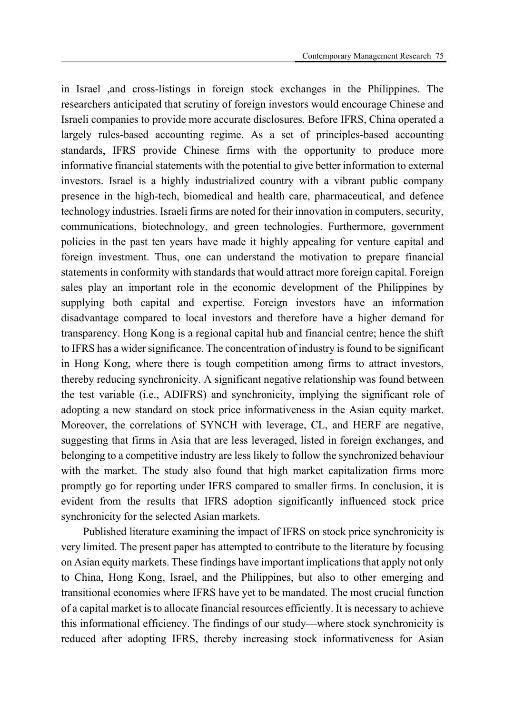in Israel ,and cross-listings in foreign stock exchanges in the Philippines. The researchers anticipated that scrutiny of foreign investors would encourage Chinese and Israeli companies to provide more accurate disclosures. Before IFRS, China operated a largely rules-based accounting regime. As a set of principles-based accounting standards, IFRS provide Chinese firms with the opportunity to produce more informative financial statements with the potential to give better information to external investors. Israel is a highly industrialized country with a vibrant public company presence in the high-tech, biomedical and health care, pharmaceutical, and defence technology industries. Israeli firms are noted for their innovation in computers, security, communications, biotechnology, and green technologies. Furthermore, government policies in the past ten years have made it highly appealing for venture capital and foreign investment. Thus, one can understand the motivation to prepare financial statements in conformity with standards that would attract more foreign capital. Foreign sales play an important role in the economic development of the Philippines by supplying both capital and expertise. Foreign investors have an information disadvantage compared to local investors and therefore have a higher demand for transparency. Hong Kong is a regional capital hub and financial centre; hence the shift to IFRS has a wider significance. The concentration of industry is found to be significant in Hong Kong, where there is tough competition among firms to attract investors, thereby reducing synchronicity. A significant negative relationship was found between the test variable (i.e., ADIFRS) and synchronicity, implying the significant role of adopting a new standard on stock price informativeness in the Asian equity market. Moreover, the correlations of SYNCH with leverage, CL, and HERF are negative, suggesting that firms in Asia that are less leveraged, listed in foreign exchanges, and belonging to a competitive industry are less likely to follow the synchronized behaviour with the market. The study also found that high market capitalization firms more promptly go for reporting under IFRS compared to smaller firms. In conclusion, it is evident from the results that IFRS adoption significantly influenced stock price synchronicity for the selected Asian markets.

Published literature examining the impact of IFRS on stock price synchronicity is very limited. The present paper has attempted to contribute to the literature by focusing on Asian equity markets. These findings have important implications that apply not only to China, Hong Kong, Israel, and the Philippines, but also to other emerging and transitional economies where IFRS have yet to be mandated. The most crucial function of a capital market is to allocate financial resources efficiently. It is necessary to achieve this informational efficiency. The findings of our study—where stock synchronicity is reduced after adopting IFRS, thereby increasing stock informativeness for Asian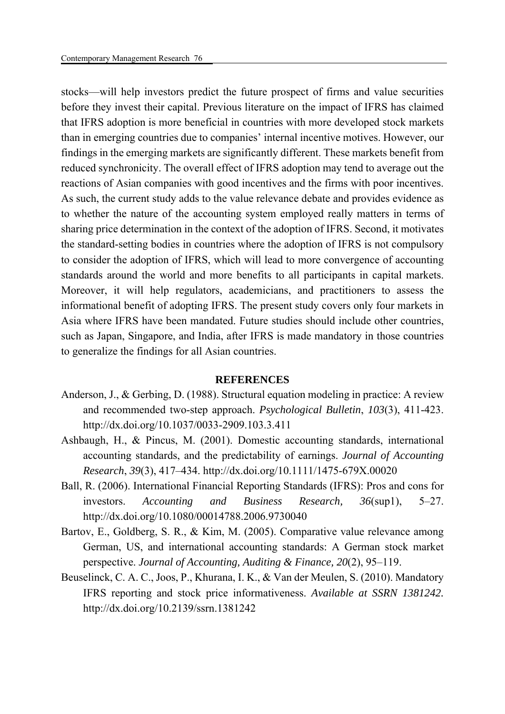stocks—will help investors predict the future prospect of firms and value securities before they invest their capital. Previous literature on the impact of IFRS has claimed that IFRS adoption is more beneficial in countries with more developed stock markets than in emerging countries due to companies' internal incentive motives. However, our findings in the emerging markets are significantly different. These markets benefit from reduced synchronicity. The overall effect of IFRS adoption may tend to average out the reactions of Asian companies with good incentives and the firms with poor incentives. As such, the current study adds to the value relevance debate and provides evidence as to whether the nature of the accounting system employed really matters in terms of sharing price determination in the context of the adoption of IFRS. Second, it motivates the standard-setting bodies in countries where the adoption of IFRS is not compulsory to consider the adoption of IFRS, which will lead to more convergence of accounting standards around the world and more benefits to all participants in capital markets. Moreover, it will help regulators, academicians, and practitioners to assess the informational benefit of adopting IFRS. The present study covers only four markets in Asia where IFRS have been mandated. Future studies should include other countries, such as Japan, Singapore, and India, after IFRS is made mandatory in those countries to generalize the findings for all Asian countries.

#### **REFERENCES**

- Anderson, J., & Gerbing, D. (1988). Structural equation modeling in practice: A review and recommended two-step approach. *Psychological Bulletin*, *103*(3), 411-423. http://dx.doi.org/10.1037/0033-2909.103.3.411
- Ashbaugh, H., & Pincus, M. (2001). Domestic accounting standards, international accounting standards, and the predictability of earnings. *Journal of Accounting Research*, *39*(3), 417–434. http://dx.doi.org/10.1111/1475-679X.00020
- Ball, R. (2006). International Financial Reporting Standards (IFRS): Pros and cons for investors. *Accounting and Business Research, 36*(sup1), 5–27. http://dx.doi.org/10.1080/00014788.2006.9730040
- Bartov, E., Goldberg, S. R., & Kim, M. (2005). Comparative value relevance among German, US, and international accounting standards: A German stock market perspective. *Journal of Accounting, Auditing & Finance, 20*(2), 95–119.
- Beuselinck, C. A. C., Joos, P., Khurana, I. K., & Van der Meulen, S. (2010). Mandatory IFRS reporting and stock price informativeness. *Available at SSRN 1381242.*  http://dx.doi.org/10.2139/ssrn.1381242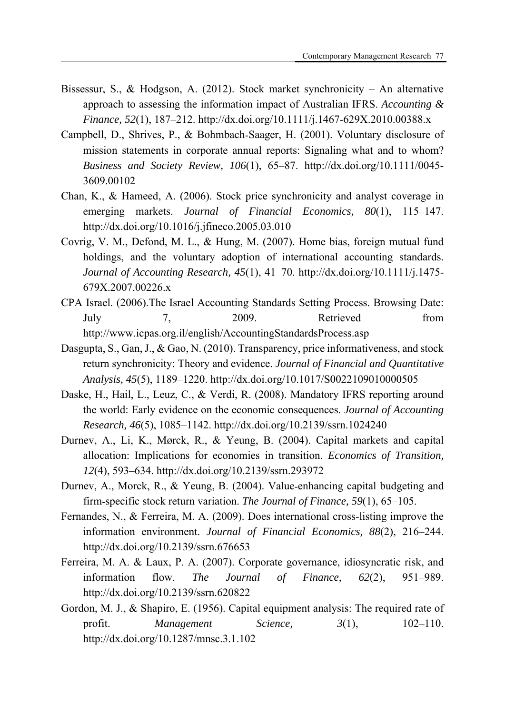- Bissessur, S., & Hodgson, A. (2012). Stock market synchronicity An alternative approach to assessing the information impact of Australian IFRS. *Accounting & Finance, 52*(1), 187–212. http://dx.doi.org/10.1111/j.1467-629X.2010.00388.x
- Campbell, D., Shrives, P., & Bohmbach‐Saager, H. (2001). Voluntary disclosure of mission statements in corporate annual reports: Signaling what and to whom? *Business and Society Review, 106*(1), 65–87. http://dx.doi.org/10.1111/0045- 3609.00102
- Chan, K., & Hameed, A. (2006). Stock price synchronicity and analyst coverage in emerging markets. *Journal of Financial Economics, 80*(1), 115–147. http://dx.doi.org/10.1016/j.jfineco.2005.03.010
- Covrig, V. M., Defond, M. L., & Hung, M. (2007). Home bias, foreign mutual fund holdings, and the voluntary adoption of international accounting standards. *Journal of Accounting Research, 45*(1), 41–70. http://dx.doi.org/10.1111/j.1475- 679X.2007.00226.x
- CPA Israel. (2006).The Israel Accounting Standards Setting Process. Browsing Date: July 7, 2009. Retrieved from http://www.icpas.org.il/english/AccountingStandardsProcess.asp
- Dasgupta, S., Gan, J., & Gao, N. (2010). Transparency, price informativeness, and stock return synchronicity: Theory and evidence. *Journal of Financial and Quantitative Analysis, 45*(5), 1189–1220. http://dx.doi.org/10.1017/S0022109010000505
- Daske, H., Hail, L., Leuz, C., & Verdi, R. (2008). Mandatory IFRS reporting around the world: Early evidence on the economic consequences. *Journal of Accounting Research, 46*(5), 1085–1142. http://dx.doi.org/10.2139/ssrn.1024240
- Durnev, A., Li, K., Mørck, R., & Yeung, B. (2004). Capital markets and capital allocation: Implications for economies in transition. *Economics of Transition, 12*(4), 593–634. http://dx.doi.org/10.2139/ssrn.293972
- Durnev, A., Morck, R., & Yeung, B. (2004). Value-enhancing capital budgeting and firm‐specific stock return variation. *The Journal of Finance, 59*(1), 65–105.
- Fernandes, N., & Ferreira, M. A. (2009). Does international cross-listing improve the information environment. *Journal of Financial Economics, 88*(2), 216–244. http://dx.doi.org/10.2139/ssrn.676653
- Ferreira, M. A. & Laux, P. A. (2007). Corporate governance, idiosyncratic risk, and information flow. *The Journal of Finance, 62*(2), 951–989. http://dx.doi.org/10.2139/ssrn.620822
- Gordon, M. J., & Shapiro, E. (1956). Capital equipment analysis: The required rate of profit. *Management Science*,  $3(1)$ ,  $102-110$ . http://dx.doi.org/10.1287/mnsc.3.1.102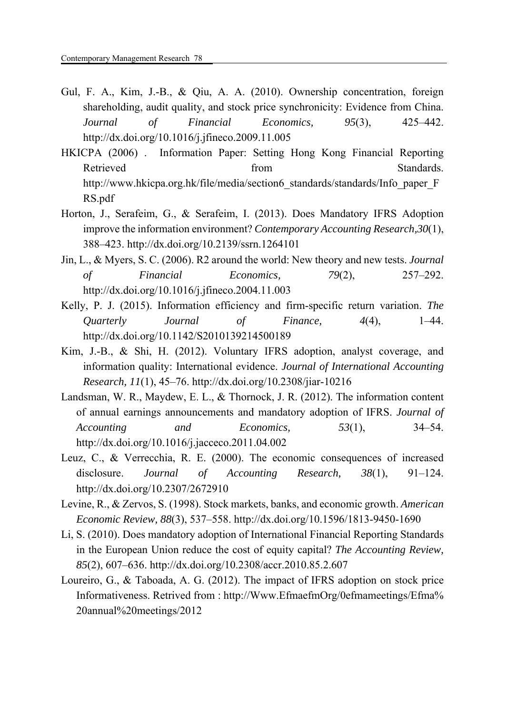- Gul, F. A., Kim, J.-B., & Qiu, A. A. (2010). Ownership concentration, foreign shareholding, audit quality, and stock price synchronicity: Evidence from China. *Journal of Financial Economics, 95*(3), 425–442. http://dx.doi.org/10.1016/j.jfineco.2009.11.005
- HKICPA (2006) . Information Paper: Setting Hong Kong Financial Reporting Retrieved from from Standards. http://www.hkicpa.org.hk/file/media/section6\_standards/standards/Info\_paper\_F RS.pdf
- Horton, J., Serafeim, G., & Serafeim, I. (2013). Does Mandatory IFRS Adoption improve the information environment? *Contemporary Accounting Research,30*(1), 388–423. http://dx.doi.org/10.2139/ssrn.1264101
- Jin, L., & Myers, S. C. (2006). R2 around the world: New theory and new tests. *Journal of Financial Economics, 79*(2), 257–292. http://dx.doi.org/10.1016/j.jfineco.2004.11.003
- Kelly, P. J. (2015). Information efficiency and firm-specific return variation. *The Quarterly Journal of Finance, 4*(4), 1–44. http://dx.doi.org/10.1142/S2010139214500189
- Kim, J.-B., & Shi, H. (2012). Voluntary IFRS adoption, analyst coverage, and information quality: International evidence. *Journal of International Accounting Research, 11*(1), 45–76. http://dx.doi.org/10.2308/jiar-10216
- Landsman, W. R., Maydew, E. L., & Thornock, J. R. (2012). The information content of annual earnings announcements and mandatory adoption of IFRS. *Journal of Accounting and Economics, 53*(1), 34–54. http://dx.doi.org/10.1016/j.jacceco.2011.04.002
- Leuz, C., & Verrecchia, R. E. (2000). The economic consequences of increased disclosure. *Journal of Accounting Research, 38*(1), 91–124. http://dx.doi.org/10.2307/2672910
- Levine, R., & Zervos, S. (1998). Stock markets, banks, and economic growth. *American Economic Review, 88*(3), 537–558. http://dx.doi.org/10.1596/1813-9450-1690
- Li, S. (2010). Does mandatory adoption of International Financial Reporting Standards in the European Union reduce the cost of equity capital? *The Accounting Review, 85*(2), 607–636. http://dx.doi.org/10.2308/accr.2010.85.2.607
- Loureiro, G., & Taboada, A. G. (2012). The impact of IFRS adoption on stock price Informativeness. Retrived from : http://Www.EfmaefmOrg/0efmameetings/Efma% 20annual%20meetings/2012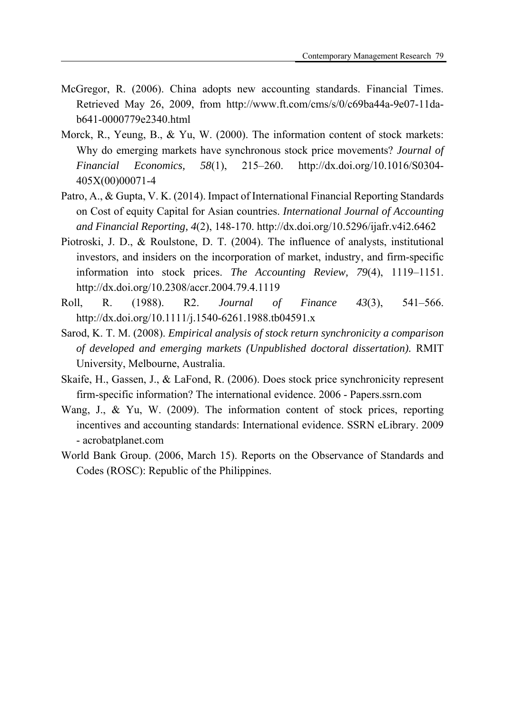- McGregor, R. (2006). China adopts new accounting standards. Financial Times. Retrieved May 26, 2009, from http://www.ft.com/cms/s/0/c69ba44a-9e07-11dab641-0000779e2340.html
- Morck, R., Yeung, B., & Yu, W. (2000). The information content of stock markets: Why do emerging markets have synchronous stock price movements? *Journal of Financial Economics, 58*(1), 215–260. http://dx.doi.org/10.1016/S0304- 405X(00)00071-4
- Patro, A., & Gupta, V. K. (2014). Impact of International Financial Reporting Standards on Cost of equity Capital for Asian countries. *International Journal of Accounting and Financial Reporting, 4*(2), 148-170. http://dx.doi.org/10.5296/ijafr.v4i2.6462
- Piotroski, J. D., & Roulstone, D. T. (2004). The influence of analysts, institutional investors, and insiders on the incorporation of market, industry, and firm-specific information into stock prices. *The Accounting Review, 79*(4), 1119–1151. http://dx.doi.org/10.2308/accr.2004.79.4.1119
- Roll, R. (1988). R2. *Journal of Finance 43*(3), 541–566. http://dx.doi.org/10.1111/j.1540-6261.1988.tb04591.x
- Sarod, K. T. M. (2008). *Empirical analysis of stock return synchronicity a comparison of developed and emerging markets (Unpublished doctoral dissertation).* RMIT University, Melbourne, Australia.
- Skaife, H., Gassen, J., & LaFond, R. (2006). Does stock price synchronicity represent firm-specific information? The international evidence. 2006 - Papers.ssrn.com
- Wang, J., & Yu, W. (2009). The information content of stock prices, reporting incentives and accounting standards: International evidence. SSRN eLibrary. 2009 - acrobatplanet.com
- World Bank Group. (2006, March 15). Reports on the Observance of Standards and Codes (ROSC): Republic of the Philippines.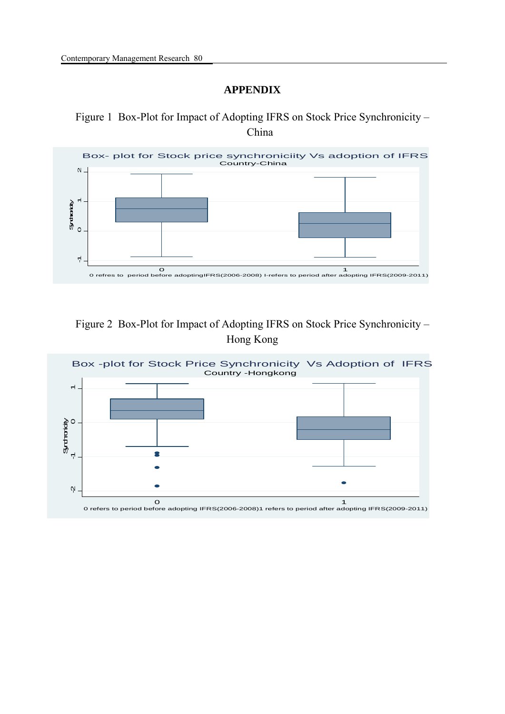## **APPENDIX**

Figure 1 Box-Plot for Impact of Adopting IFRS on Stock Price Synchronicity – China



## Figure 2 Box-Plot for Impact of Adopting IFRS on Stock Price Synchronicity – Hong Kong

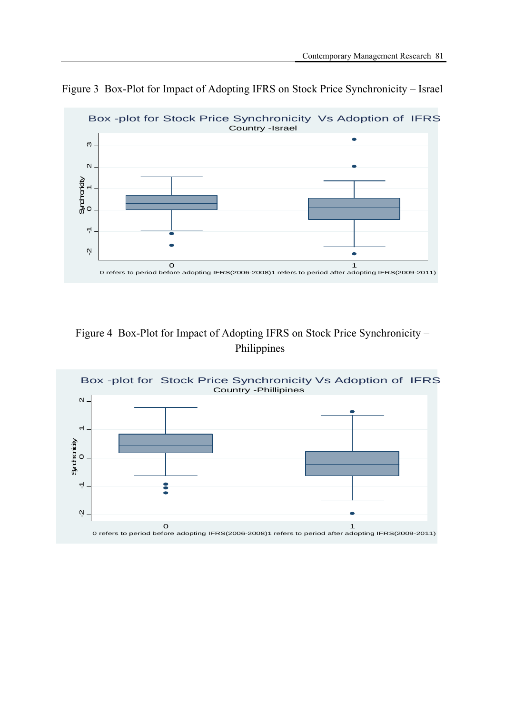

Figure 3 Box-Plot for Impact of Adopting IFRS on Stock Price Synchronicity – Israel

# Figure 4 Box-Plot for Impact of Adopting IFRS on Stock Price Synchronicity – Philippines

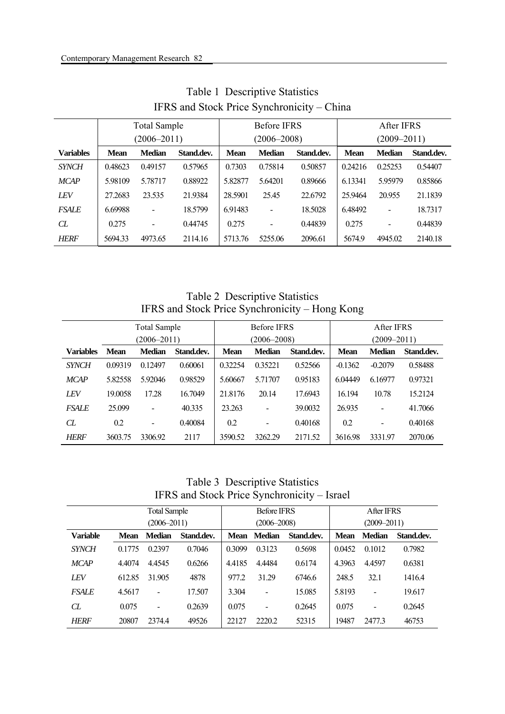|                  |                 | <b>Total Sample</b> |            |                 | <b>Before IFRS</b> |            |                 | After IFRS    |            |
|------------------|-----------------|---------------------|------------|-----------------|--------------------|------------|-----------------|---------------|------------|
|                  | $(2006 - 2011)$ |                     |            | $(2006 - 2008)$ |                    |            | $(2009 - 2011)$ |               |            |
| <b>Variables</b> | <b>Mean</b>     | <b>Median</b>       | Stand.dev. | <b>Mean</b>     | <b>Median</b>      | Stand.dev. | <b>Mean</b>     | <b>Median</b> | Stand.dev. |
| <b>SYNCH</b>     | 0.48623         | 0.49157             | 0.57965    | 0.7303          | 0.75814            | 0.50857    | 0.24216         | 0.25253       | 0.54407    |
| <b>MCAP</b>      | 5.98109         | 5.78717             | 0.88922    | 5.82877         | 5.64201            | 0.89666    | 6.13341         | 5.95979       | 0.85866    |
| <b>LEV</b>       | 27.2683         | 23.535              | 21.9384    | 28.5901         | 25.45              | 22.6792    | 25.9464         | 20.955        | 21.1839    |
| <b>FSALE</b>     | 6.69988         | $\overline{a}$      | 18.5799    | 6.91483         |                    | 18.5028    | 6.48492         |               | 18.7317    |
| CL               | 0.275           | $\overline{a}$      | 0.44745    | 0.275           |                    | 0.44839    | 0.275           |               | 0.44839    |
| <b>HERF</b>      | 5694.33         | 4973.65             | 2114.16    | 5713.76         | 5255.06            | 2096.61    | 5674.9          | 4945.02       | 2140.18    |

Table 1 Descriptive Statistics IFRS and Stock Price Synchronicity – China

Table 2 Descriptive Statistics IFRS and Stock Price Synchronicity – Hong Kong

|                  |             | <b>Total Sample</b> |            |             | <b>Before IFRS</b>       |            |             | After IFRS               |            |  |
|------------------|-------------|---------------------|------------|-------------|--------------------------|------------|-------------|--------------------------|------------|--|
|                  |             | $(2006 - 2011)$     |            |             | $(2006 - 2008)$          |            |             | $(2009 - 2011)$          |            |  |
| <b>Variables</b> | <b>Mean</b> | <b>Median</b>       | Stand.dev. | <b>Mean</b> | <b>Median</b>            | Stand.dev. | <b>Mean</b> | <b>Median</b>            | Stand.dev. |  |
| <b>SYNCH</b>     | 0.09319     | 0.12497             | 0.60061    | 0.32254     | 0.35221                  | 0.52566    | $-0.1362$   | $-0.2079$                | 0.58488    |  |
| <b>MCAP</b>      | 5.82558     | 5.92046             | 0.98529    | 5.60667     | 5.71707                  | 0.95183    | 6.04449     | 6.16977                  | 0.97321    |  |
| LEV              | 19.0058     | 17.28               | 16.7049    | 21.8176     | 20.14                    | 17.6943    | 16.194      | 10.78                    | 15.2124    |  |
| <b>FSALE</b>     | 25.099      | $\blacksquare$      | 40.335     | 23.263      | $\overline{\phantom{a}}$ | 39.0032    | 26.935      | $\overline{\phantom{a}}$ | 41.7066    |  |
| CL               | 0.2         | $\blacksquare$      | 0.40084    | 0.2         | $\overline{\phantom{a}}$ | 0.40168    | 0.2         | $\blacksquare$           | 0.40168    |  |
| <b>HERF</b>      | 3603.75     | 3306.92             | 2117       | 3590.52     | 3262.29                  | 2171.52    | 3616.98     | 3331.97                  | 2070.06    |  |

Table 3 Descriptive Statistics IFRS and Stock Price Synchronicity – Israel

|                 |                 | <b>Total Sample</b>      |            | <b>Before IFRS</b> |                          |            |             | After IFRS      |            |  |
|-----------------|-----------------|--------------------------|------------|--------------------|--------------------------|------------|-------------|-----------------|------------|--|
|                 | $(2006 - 2011)$ |                          |            |                    | $(2006 - 2008)$          |            |             | $(2009 - 2011)$ |            |  |
| <b>Variable</b> | <b>Mean</b>     | <b>Median</b>            | Stand.dev. | Mean               | <b>Median</b>            | Stand.dev. | <b>Mean</b> | <b>Median</b>   | Stand.dev. |  |
| <b>SYNCH</b>    | 0.1775          | 0.2397                   | 0.7046     | 0.3099             | 0.3123                   | 0.5698     | 0.0452      | 0.1012          | 0.7982     |  |
| <b>MCAP</b>     | 4.4074          | 4.4545                   | 0.6266     | 4.4185             | 4.4484                   | 0.6174     | 4.3963      | 4.4597          | 0.6381     |  |
| <b>LEV</b>      | 612.85          | 31.905                   | 4878       | 977.2              | 31.29                    | 6746.6     | 248.5       | 32.1            | 1416.4     |  |
| <b>FSALE</b>    | 4.5617          | $\blacksquare$           | 17.507     | 3.304              | $\overline{\phantom{a}}$ | 15.085     | 5.8193      | $\blacksquare$  | 19.617     |  |
| CL              | 0.075           | $\overline{\phantom{a}}$ | 0.2639     | 0.075              | $\blacksquare$           | 0.2645     | 0.075       |                 | 0.2645     |  |
| <b>HERF</b>     | 20807           | 2374.4                   | 49526      | 22127              | 2220.2                   | 52315      | 19487       | 2477.3          | 46753      |  |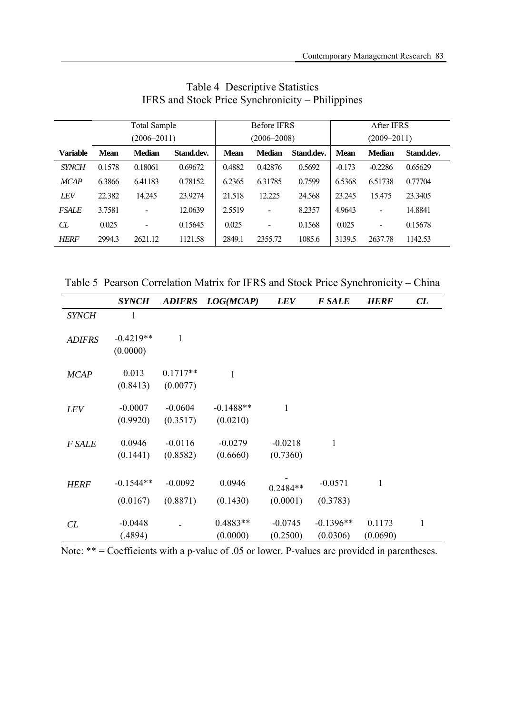|                 |             | <b>Total Sample</b><br>$(2006 - 2011)$ |            |             | <b>Before IFRS</b><br>$(2006 - 2008)$ |            |             | After IFRS<br>$(2009 - 2011)$ |            |  |
|-----------------|-------------|----------------------------------------|------------|-------------|---------------------------------------|------------|-------------|-------------------------------|------------|--|
|                 |             |                                        |            |             |                                       |            |             |                               |            |  |
| <b>Variable</b> | <b>Mean</b> | <b>Median</b>                          | Stand.dev. | <b>Mean</b> | <b>Median</b>                         | Stand.dev. | <b>Mean</b> | <b>Median</b>                 | Stand.dev. |  |
| <b>SYNCH</b>    | 0.1578      | 0.18061                                | 0.69672    | 0.4882      | 0.42876                               | 0.5692     | $-0.173$    | $-0.2286$                     | 0.65629    |  |
| <b>MCAP</b>     | 6.3866      | 6.41183                                | 0.78152    | 6.2365      | 6.31785                               | 0.7599     | 6.5368      | 6.51738                       | 0.77704    |  |
| <b>LEV</b>      | 22.382      | 14.245                                 | 23.9274    | 21.518      | 12.225                                | 24.568     | 23.245      | 15.475                        | 23.3405    |  |
| <b>FSALE</b>    | 3.7581      | $\overline{\phantom{a}}$               | 12.0639    | 2.5519      | $\overline{\phantom{a}}$              | 8.2357     | 4.9643      | $\overline{\phantom{a}}$      | 14.8841    |  |
| CL              | 0.025       | $\blacksquare$                         | 0.15645    | 0.025       | $\qquad \qquad \blacksquare$          | 0.1568     | 0.025       | $\overline{\phantom{a}}$      | 0.15678    |  |
| <b>HERF</b>     | 2994.3      | 2621.12                                | 1121.58    | 2849.1      | 2355.72                               | 1085.6     | 3139.5      | 2637.78                       | 1142.53    |  |

## Table 4 Descriptive Statistics IFRS and Stock Price Synchronicity – Philippines

Table 5 Pearson Correlation Matrix for IFRS and Stock Price Synchronicity – China

|               | <b>SYNCH</b>            |            | ADIFRS LOG(MCAP)     | <b>LEV</b>            | <b>F SALE</b>           | <b>HERF</b>        | CL           |
|---------------|-------------------------|------------|----------------------|-----------------------|-------------------------|--------------------|--------------|
| <b>SYNCH</b>  | 1                       |            |                      |                       |                         |                    |              |
| <b>ADIFRS</b> | $-0.4219**$<br>(0.0000) | 1          |                      |                       |                         |                    |              |
| <b>MCAP</b>   | 0.013                   | $0.1717**$ | $\mathbf{1}$         |                       |                         |                    |              |
|               | (0.8413)                | (0.0077)   |                      |                       |                         |                    |              |
| <b>LEV</b>    | $-0.0007$               | $-0.0604$  | $-0.1488**$          | 1                     |                         |                    |              |
|               | (0.9920)                | (0.3517)   | (0.0210)             |                       |                         |                    |              |
| F SALE        | 0.0946                  | $-0.0116$  | $-0.0279$            | $-0.0218$             | $\mathbf{1}$            |                    |              |
|               | (0.1441)                | (0.8582)   | (0.6660)             | (0.7360)              |                         |                    |              |
| <b>HERF</b>   | $-0.1544**$             | $-0.0092$  | 0.0946               | $0.2484**$            | $-0.0571$               | 1                  |              |
|               | (0.0167)                | (0.8871)   | (0.1430)             | (0.0001)              | (0.3783)                |                    |              |
| CL            | $-0.0448$<br>(.4894)    |            | 0.4883**<br>(0.0000) | $-0.0745$<br>(0.2500) | $-0.1396**$<br>(0.0306) | 0.1173<br>(0.0690) | $\mathbf{1}$ |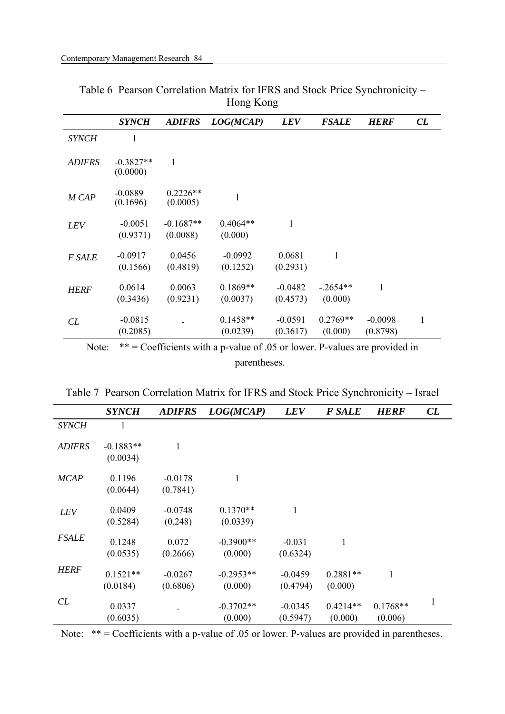|               | <b>SYNCH</b>            | <b>ADIFRS</b>           | LOG(MCAP)              | <b>LEV</b>            | <b>FSALE</b>          | <b>HERF</b>           | CL |
|---------------|-------------------------|-------------------------|------------------------|-----------------------|-----------------------|-----------------------|----|
| <b>SYNCH</b>  | 1                       |                         |                        |                       |                       |                       |    |
| <b>ADIFRS</b> | $-0.3827**$<br>(0.0000) | 1                       |                        |                       |                       |                       |    |
| M CAP         | $-0.0889$<br>(0.1696)   | $0.2226**$<br>(0.0005)  | 1                      |                       |                       |                       |    |
| <i>LEV</i>    | $-0.0051$<br>(0.9371)   | $-0.1687**$<br>(0.0088) | $0.4064**$<br>(0.000)  | 1                     |                       |                       |    |
| F SALE        | $-0.0917$<br>(0.1566)   | 0.0456<br>(0.4819)      | $-0.0992$<br>(0.1252)  | 0.0681<br>(0.2931)    | $\mathbf{1}$          |                       |    |
| <b>HERF</b>   | 0.0614<br>(0.3436)      | 0.0063<br>(0.9231)      | $0.1869**$<br>(0.0037) | $-0.0482$<br>(0.4573) | $-.2654**$<br>(0.000) | 1                     |    |
| CL            | $-0.0815$<br>(0.2085)   |                         | $0.1458**$<br>(0.0239) | $-0.0591$<br>(0.3617) | $0.2769**$<br>(0.000) | $-0.0098$<br>(0.8798) | 1  |

Table 6 Pearson Correlation Matrix for IFRS and Stock Price Synchronicity – Hong Kong

|               | <b>SYNCH</b>            | <b>ADIFRS</b>         | LOG(MCAP)              | <b>LEV</b>            | <b>F SALE</b>         | <b>HERF</b>           | CL |
|---------------|-------------------------|-----------------------|------------------------|-----------------------|-----------------------|-----------------------|----|
| <b>SYNCH</b>  | 1                       |                       |                        |                       |                       |                       |    |
| <b>ADIFRS</b> | $-0.1883**$<br>(0.0034) |                       |                        |                       |                       |                       |    |
| <b>MCAP</b>   | 0.1196<br>(0.0644)      | $-0.0178$<br>(0.7841) | $\mathbf{1}$           |                       |                       |                       |    |
| LEV           | 0.0409<br>(0.5284)      | $-0.0748$<br>(0.248)  | $0.1370**$<br>(0.0339) | 1                     |                       |                       |    |
| <b>FSALE</b>  | 0.1248<br>(0.0535)      | 0.072<br>(0.2666)     | $-0.3900**$<br>(0.000) | $-0.031$<br>(0.6324)  | 1                     |                       |    |
| <b>HERF</b>   | $0.1521**$<br>(0.0184)  | $-0.0267$<br>(0.6806) | $-0.2953**$<br>(0.000) | $-0.0459$<br>(0.4794) | $0.2881**$<br>(0.000) | $\mathbf{1}$          |    |
| CL            | 0.0337<br>(0.6035)      |                       | $-0.3702**$<br>(0.000) | $-0.0345$<br>(0.5947) | $0.4214**$<br>(0.000) | $0.1768**$<br>(0.006) | 1  |

Table 7 Pearson Correlation Matrix for IFRS and Stock Price Synchronicity – Israel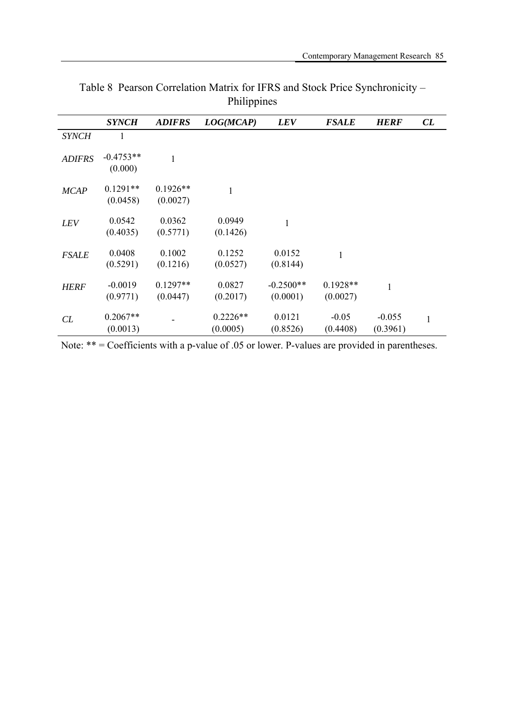|               | <b>SYNCH</b>           | <b>ADIFRS</b>          | LOG(MCAP)              | <b>LEV</b>              | <b>FSALE</b>           | <b>HERF</b>          | CL |
|---------------|------------------------|------------------------|------------------------|-------------------------|------------------------|----------------------|----|
| <b>SYNCH</b>  | 1                      |                        |                        |                         |                        |                      |    |
| <b>ADIFRS</b> | $-0.4753**$<br>(0.000) | $\mathbf{1}$           |                        |                         |                        |                      |    |
| <b>MCAP</b>   | $0.1291**$<br>(0.0458) | $0.1926**$<br>(0.0027) | 1                      |                         |                        |                      |    |
| <b>LEV</b>    | 0.0542<br>(0.4035)     | 0.0362<br>(0.5771)     | 0.0949<br>(0.1426)     | $\mathbf{1}$            |                        |                      |    |
| <b>FSALE</b>  | 0.0408<br>(0.5291)     | 0.1002<br>(0.1216)     | 0.1252<br>(0.0527)     | 0.0152<br>(0.8144)      | $\mathbf{1}$           |                      |    |
| <b>HERF</b>   | $-0.0019$<br>(0.9771)  | $0.1297**$<br>(0.0447) | 0.0827<br>(0.2017)     | $-0.2500**$<br>(0.0001) | $0.1928**$<br>(0.0027) |                      |    |
| CL            | $0.2067**$<br>(0.0013) |                        | $0.2226**$<br>(0.0005) | 0.0121<br>(0.8526)      | $-0.05$<br>(0.4408)    | $-0.055$<br>(0.3961) |    |

Table 8 Pearson Correlation Matrix for IFRS and Stock Price Synchronicity – Philippines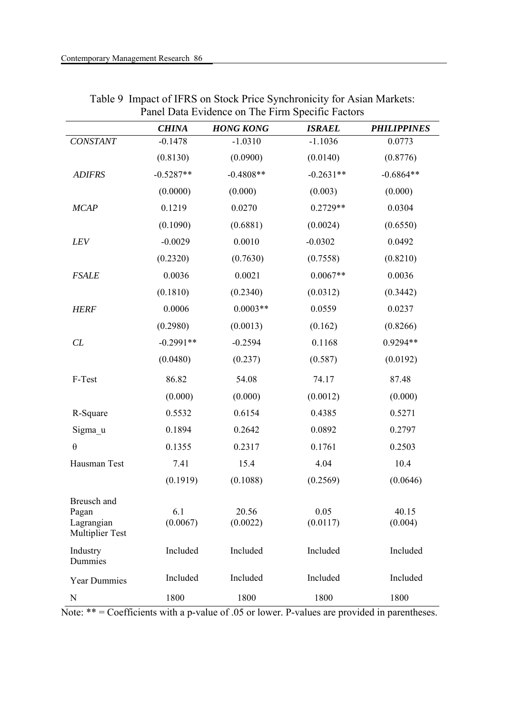|                                                              | <b>CHINA</b>    | <b>HONG KONG</b>  | <b>ISRAEL</b>    | <b>PHILIPPINES</b> |
|--------------------------------------------------------------|-----------------|-------------------|------------------|--------------------|
| CONSTANT                                                     | $-0.1478$       | $-1.0310$         | $-1.1036$        | 0.0773             |
|                                                              | (0.8130)        | (0.0900)          | (0.0140)         | (0.8776)           |
| <b>ADIFRS</b>                                                | $-0.5287**$     | $-0.4808**$       | $-0.2631**$      | $-0.6864**$        |
|                                                              | (0.0000)        | (0.000)           | (0.003)          | (0.000)            |
| <b>MCAP</b>                                                  | 0.1219          | 0.0270            | $0.2729**$       | 0.0304             |
|                                                              | (0.1090)        | (0.6881)          | (0.0024)         | (0.6550)           |
| LEV                                                          | $-0.0029$       | 0.0010            | $-0.0302$        | 0.0492             |
|                                                              | (0.2320)        | (0.7630)          | (0.7558)         | (0.8210)           |
| <b>FSALE</b>                                                 | 0.0036          | 0.0021            | $0.0067**$       | 0.0036             |
|                                                              | (0.1810)        | (0.2340)          | (0.0312)         | (0.3442)           |
| <b>HERF</b>                                                  | 0.0006          | $0.0003**$        | 0.0559           | 0.0237             |
|                                                              | (0.2980)        | (0.0013)          | (0.162)          | (0.8266)           |
| CL                                                           | $-0.2991**$     | $-0.2594$         | 0.1168           | 0.9294**           |
|                                                              | (0.0480)        | (0.237)           | (0.587)          | (0.0192)           |
| F-Test                                                       | 86.82           | 54.08             | 74.17            | 87.48              |
|                                                              | (0.000)         | (0.000)           | (0.0012)         | (0.000)            |
| R-Square                                                     | 0.5532          | 0.6154            | 0.4385           | 0.5271             |
| Sigma u                                                      | 0.1894          | 0.2642            | 0.0892           | 0.2797             |
| $\theta$                                                     | 0.1355          | 0.2317            | 0.1761           | 0.2503             |
| Hausman Test                                                 | 7.41            | 15.4              | 4.04             | 10.4               |
|                                                              | (0.1919)        | (0.1088)          | (0.2569)         | (0.0646)           |
| Breusch and<br>Pagan<br>Lagrangian<br><b>Multiplier Test</b> | 6.1<br>(0.0067) | 20.56<br>(0.0022) | 0.05<br>(0.0117) | 40.15<br>(0.004)   |
| Industry<br>Dummies                                          | Included        | Included          | Included         | Included           |
| <b>Year Dummies</b>                                          | Included        | Included          | Included         | Included           |
| N                                                            | 1800            | 1800              | 1800             | 1800               |

| Table 9 Impact of IFRS on Stock Price Synchronicity for Asian Markets: |
|------------------------------------------------------------------------|
| Panel Data Evidence on The Firm Specific Factors                       |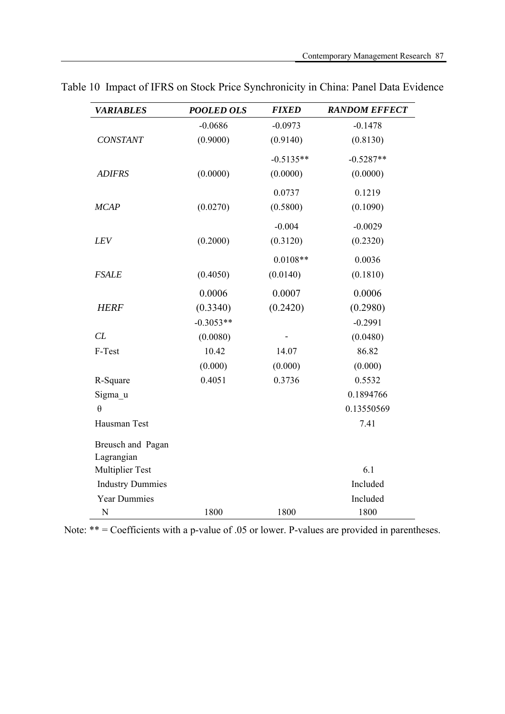| <b>VARIABLES</b>        | <b>POOLED OLS</b> | <b>FIXED</b> | <b>RANDOM EFFECT</b> |
|-------------------------|-------------------|--------------|----------------------|
|                         | $-0.0686$         | $-0.0973$    | $-0.1478$            |
| <b>CONSTANT</b>         | (0.9000)          | (0.9140)     | (0.8130)             |
|                         |                   | $-0.5135**$  | $-0.5287**$          |
| <b>ADIFRS</b>           | (0.0000)          | (0.0000)     | (0.0000)             |
|                         |                   | 0.0737       | 0.1219               |
| <b>MCAP</b>             | (0.0270)          | (0.5800)     | (0.1090)             |
|                         |                   | $-0.004$     | $-0.0029$            |
| LEV                     | (0.2000)          | (0.3120)     | (0.2320)             |
|                         |                   | $0.0108**$   | 0.0036               |
| <b>FSALE</b>            | (0.4050)          | (0.0140)     | (0.1810)             |
|                         | 0.0006            | 0.0007       | 0.0006               |
| <b>HERF</b>             | (0.3340)          | (0.2420)     | (0.2980)             |
|                         | $-0.3053**$       |              | $-0.2991$            |
| CL                      | (0.0080)          |              | (0.0480)             |
| F-Test                  | 10.42             | 14.07        | 86.82                |
|                         | (0.000)           | (0.000)      | (0.000)              |
| R-Square                | 0.4051            | 0.3736       | 0.5532               |
| Sigma u                 |                   |              | 0.1894766            |
| $\theta$                |                   |              | 0.13550569           |
| Hausman Test            |                   |              | 7.41                 |
| Breusch and Pagan       |                   |              |                      |
| Lagrangian              |                   |              |                      |
| <b>Multiplier Test</b>  |                   |              | 6.1                  |
| <b>Industry Dummies</b> |                   |              | Included             |
| <b>Year Dummies</b>     |                   |              | Included             |
| N                       | 1800              | 1800         | 1800                 |

Table 10 Impact of IFRS on Stock Price Synchronicity in China: Panel Data Evidence